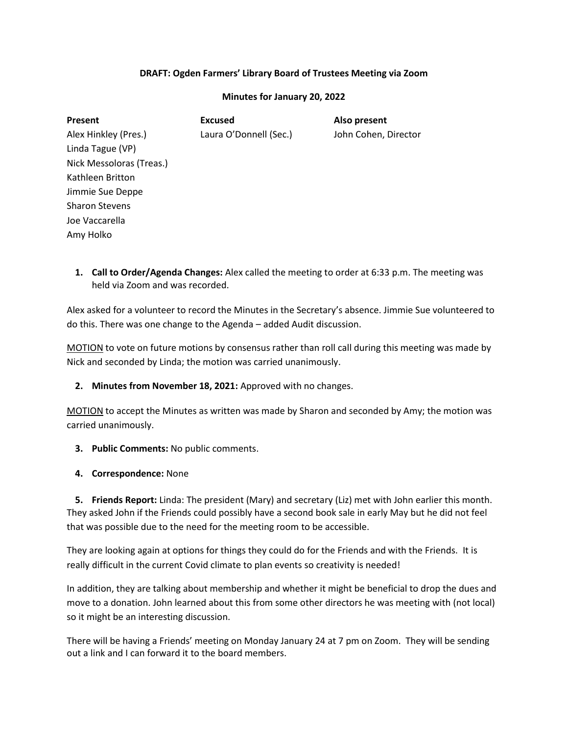## **DRAFT: Ogden Farmers' Library Board of Trustees Meeting via Zoom**

### **Minutes for January 20, 2022**

| <b>Present</b>           | <b>Excused</b>         | Also present         |
|--------------------------|------------------------|----------------------|
| Alex Hinkley (Pres.)     | Laura O'Donnell (Sec.) | John Cohen, Director |
| Linda Tague (VP)         |                        |                      |
| Nick Messoloras (Treas.) |                        |                      |
| Kathleen Britton         |                        |                      |
| Jimmie Sue Deppe         |                        |                      |
| <b>Sharon Stevens</b>    |                        |                      |
| Joe Vaccarella           |                        |                      |
| Amy Holko                |                        |                      |

**1. Call to Order/Agenda Changes:** Alex called the meeting to order at 6:33 p.m. The meeting was held via Zoom and was recorded.

Alex asked for a volunteer to record the Minutes in the Secretary's absence. Jimmie Sue volunteered to do this. There was one change to the Agenda – added Audit discussion.

MOTION to vote on future motions by consensus rather than roll call during this meeting was made by Nick and seconded by Linda; the motion was carried unanimously.

**2. Minutes from November 18, 2021:** Approved with no changes.

MOTION to accept the Minutes as written was made by Sharon and seconded by Amy; the motion was carried unanimously.

- **3. Public Comments:** No public comments.
- **4. Correspondence:** None

**5. Friends Report:** Linda: The president (Mary) and secretary (Liz) met with John earlier this month. They asked John if the Friends could possibly have a second book sale in early May but he did not feel that was possible due to the need for the meeting room to be accessible.

They are looking again at options for things they could do for the Friends and with the Friends. It is really difficult in the current Covid climate to plan events so creativity is needed!

In addition, they are talking about membership and whether it might be beneficial to drop the dues and move to a donation. John learned about this from some other directors he was meeting with (not local) so it might be an interesting discussion.

There will be having a Friends' meeting on Monday January 24 at 7 pm on Zoom. They will be sending out a link and I can forward it to the board members.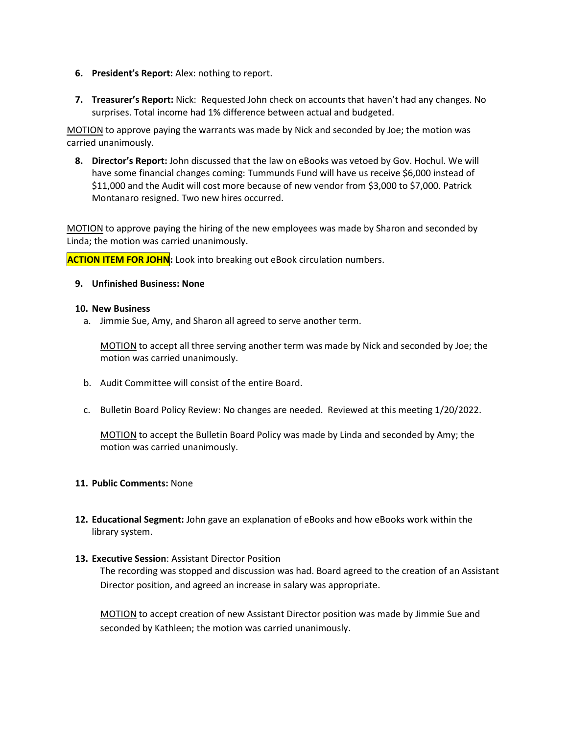- **6. President's Report:** Alex: nothing to report.
- **7. Treasurer's Report:** Nick: Requested John check on accounts that haven't had any changes. No surprises. Total income had 1% difference between actual and budgeted.

MOTION to approve paying the warrants was made by Nick and seconded by Joe; the motion was carried unanimously.

**8. Director's Report:** John discussed that the law on eBooks was vetoed by Gov. Hochul. We will have some financial changes coming: Tummunds Fund will have us receive \$6,000 instead of \$11,000 and the Audit will cost more because of new vendor from \$3,000 to \$7,000. Patrick Montanaro resigned. Two new hires occurred.

MOTION to approve paying the hiring of the new employees was made by Sharon and seconded by Linda; the motion was carried unanimously.

**ACTION ITEM FOR JOHN:** Look into breaking out eBook circulation numbers.

### **9. Unfinished Business: None**

### **10. New Business**

a. Jimmie Sue, Amy, and Sharon all agreed to serve another term.

MOTION to accept all three serving another term was made by Nick and seconded by Joe; the motion was carried unanimously.

- b. Audit Committee will consist of the entire Board.
- c. Bulletin Board Policy Review: No changes are needed. Reviewed at this meeting 1/20/2022.

MOTION to accept the Bulletin Board Policy was made by Linda and seconded by Amy; the motion was carried unanimously.

### **11. Public Comments:** None

**12. Educational Segment:** John gave an explanation of eBooks and how eBooks work within the library system.

### **13. Executive Session**: Assistant Director Position

The recording was stopped and discussion was had. Board agreed to the creation of an Assistant Director position, and agreed an increase in salary was appropriate.

MOTION to accept creation of new Assistant Director position was made by Jimmie Sue and seconded by Kathleen; the motion was carried unanimously.